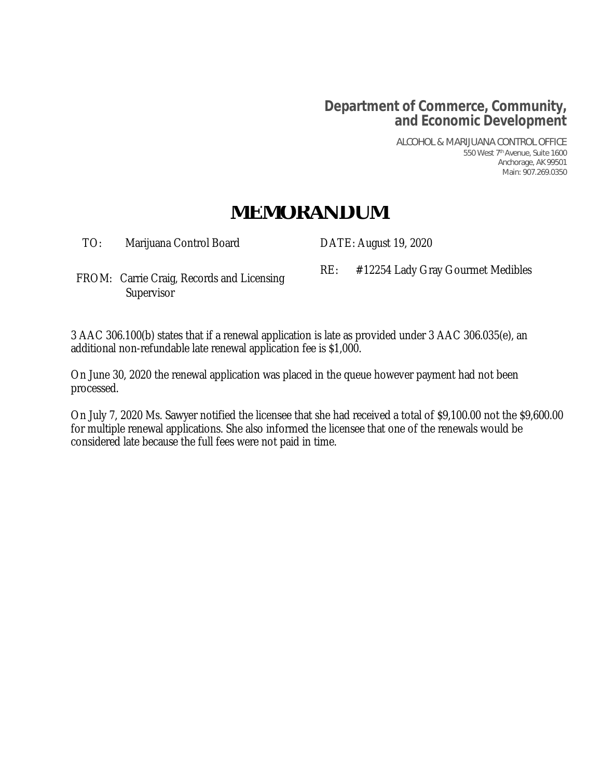# **Department of Commerce, Community, and Economic Development**

ALCOHOL & MARIJUANA CONTROL OFFICE 550 West 7th Avenue, Suite 1600 Anchorage, AK 99501 Main: 907.269.0350

# **MEMORANDUM**

TO: Marijuana Control Board DATE: August 19, 2020

RE: #12254 Lady Gray Gourmet Medibles FROM: Carrie Craig, Records and Licensing **Supervisor** 

3 AAC 306.100(b) states that if a renewal application is late as provided under 3 AAC 306.035(e), an additional non-refundable late renewal application fee is \$1,000.

On June 30, 2020 the renewal application was placed in the queue however payment had not been processed.

On July 7, 2020 Ms. Sawyer notified the licensee that she had received a total of \$9,100.00 not the \$9,600.00 for multiple renewal applications. She also informed the licensee that one of the renewals would be considered late because the full fees were not paid in time.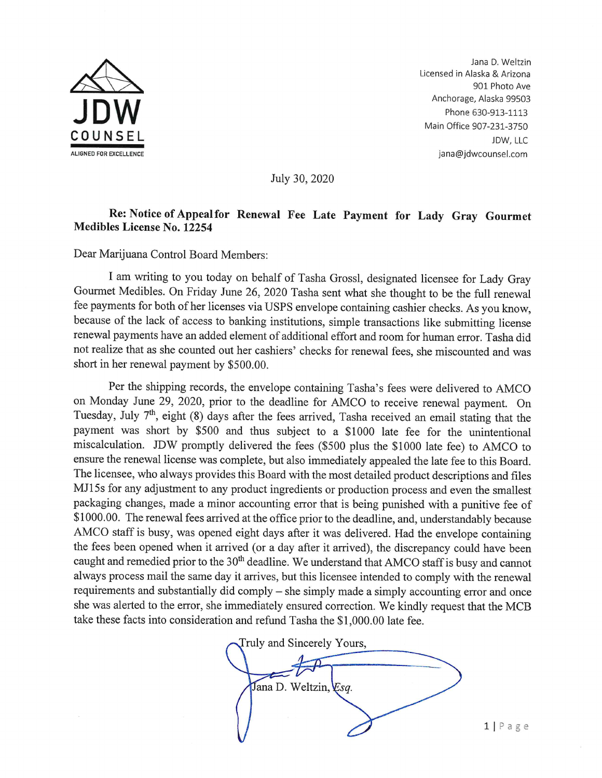

Jana D. Weltzin Licensed in Alaska & Arizona 901 Photo Ave Anchorage, Alaska 99503 Phone 630-913-1113 Main Office 907-231-3750 JDW, LLC jana@jdwcounsel.com

July 30, 2020

#### Re: Notice of Appeal for Renewal Fee Late Payment for Lady Gray Gourmet **Medibles License No. 12254**

Dear Marijuana Control Board Members:

I am writing to you today on behalf of Tasha Grossl, designated licensee for Lady Gray Gourmet Medibles. On Friday June 26, 2020 Tasha sent what she thought to be the full renewal fee payments for both of her licenses via USPS envelope containing cashier checks. As you know, because of the lack of access to banking institutions, simple transactions like submitting license renewal payments have an added element of additional effort and room for human error. Tasha did not realize that as she counted out her cashiers' checks for renewal fees, she miscounted and was short in her renewal payment by \$500.00.

Per the shipping records, the envelope containing Tasha's fees were delivered to AMCO on Monday June 29, 2020, prior to the deadline for AMCO to receive renewal payment. On Tuesday, July 7<sup>th</sup>, eight (8) days after the fees arrived, Tasha received an email stating that the payment was short by \$500 and thus subject to a \$1000 late fee for the unintentional miscalculation. JDW promptly delivered the fees (\$500 plus the \$1000 late fee) to AMCO to ensure the renewal license was complete, but also immediately appealed the late fee to this Board. The licensee, who always provides this Board with the most detailed product descriptions and files MJ15s for any adjustment to any product ingredients or production process and even the smallest packaging changes, made a minor accounting error that is being punished with a punitive fee of \$1000.00. The renewal fees arrived at the office prior to the deadline, and, understandably because AMCO staff is busy, was opened eight days after it was delivered. Had the envelope containing the fees been opened when it arrived (or a day after it arrived), the discrepancy could have been caught and remedied prior to the 30<sup>th</sup> deadline. We understand that AMCO staff is busy and cannot always process mail the same day it arrives, but this licensee intended to comply with the renewal requirements and substantially did comply - she simply made a simply accounting error and once she was alerted to the error, she immediately ensured correction. We kindly request that the MCB take these facts into consideration and refund Tasha the \$1,000.00 late fee.

Truly and Sincerely Yours, Jana D. Weltzin, Esq.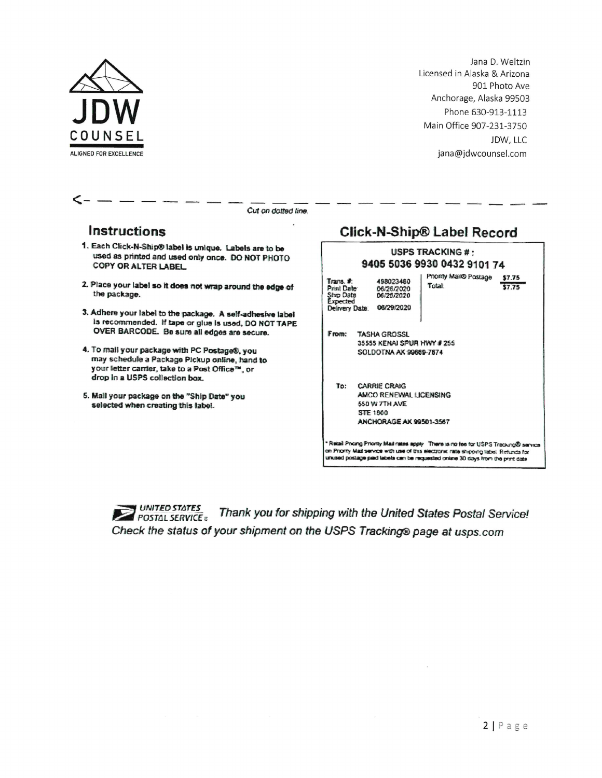

Jana D. Weltzin Licensed in Alaska & Arizona 901 Photo Ave Anchorage, Alaska 99503 Phone 630-913-1113 Main Office 907-231-3750 JDW, LLC jana@jdwcounsel.com

<

Cut on dotted line.

### Instructions

- 1. Each Click-N-Ship® label is unique. Labels are to be used as printed and used only once. DO NOT PHOTO COPY OR ALTER LABEL
- 2. Place your label so it does not wrap around the edge of the package.
- 3. Adhere your label to the package. A self-adhesive label is recommended. If tape or glue is used, DO NOT TAPE OVER BARCODE. Be sure all edges are secure.
- 4. To mail your package with PC Postage®, you may schedule a Package Pickup online, hand to your letter carrier, take to a Post Office™, or drop in a USPS collection box.
- 5. Mail your package on the "Ship Date" you selected when creating this label.

## **Click-N-Ship® Label Record**

| <b>USPS TRACKING # -</b><br>9405 5036 9930 0432 9101 74                                                                                                                                                                                                           |                                                                                                           |                                                      |
|-------------------------------------------------------------------------------------------------------------------------------------------------------------------------------------------------------------------------------------------------------------------|-----------------------------------------------------------------------------------------------------------|------------------------------------------------------|
| Trans. #<br>Print Date:<br>Ship Date<br>Expected                                                                                                                                                                                                                  | 498023460<br>06/26/2020<br>06/26/2020<br>Delivery Date: 08/29/2020                                        | Priority Mail® Postage<br>\$7.75<br>Total:<br>\$7.75 |
| From:                                                                                                                                                                                                                                                             | <b>TASHA GROSSL</b><br>35555 KENAI SPUR HWY # 255<br>SOLDOTNA AK 99669-7674                               |                                                      |
|                                                                                                                                                                                                                                                                   | To: CARRIE CRAIG<br>AMCO RENEWAL LICENSING<br>550 W 7TH AVE<br><b>STF 1800</b><br>ANCHORAGE AK 99501-3567 |                                                      |
| * Retail Pricing Priority Mail rates apply There is no fee for USPS Tracking® service<br>on Priority Mail service with use of this electronic rate shipping label. Refunds for<br>UNISED DOSTEDS DEED ISONS CED be recuredad online 30 days from the construction |                                                                                                           |                                                      |

**POSTAL SERVICE** Thank you for shipping with the United States Postal Service! Check the status of your shipment on the USPS Tracking® page at usps.com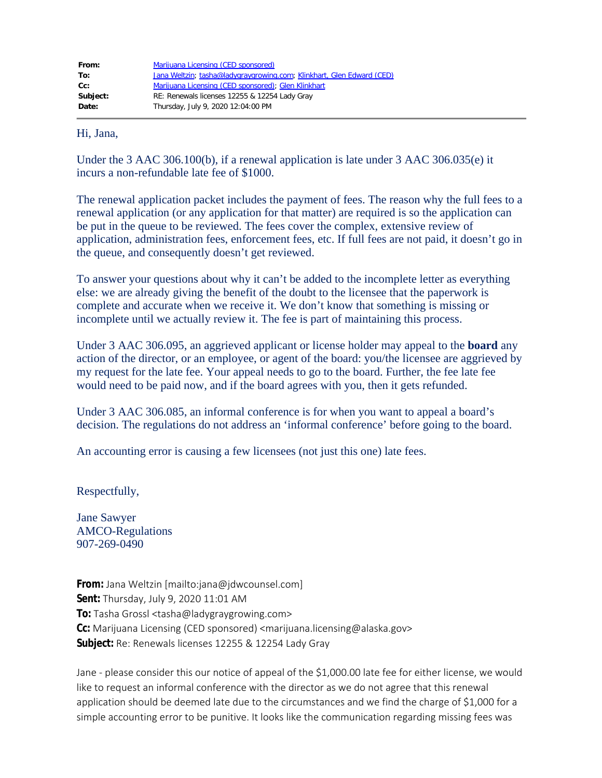| From:    | Marijuana Licensing (CED sponsored)                                   |  |
|----------|-----------------------------------------------------------------------|--|
| To:      | Jana Weltzin; tasha@ladygraygrowing.com; Klinkhart, Glen Edward (CED) |  |
| cc:      | Marijuana Licensing (CED sponsored); Glen Klinkhart                   |  |
| Subject: | RE: Renewals licenses 12255 & 12254 Lady Gray                         |  |
| Date:    | Thursday, July 9, 2020 12:04:00 PM                                    |  |

Hi, Jana,

Under the 3 AAC 306.100(b), if a renewal application is late under 3 AAC 306.035(e) it incurs a non-refundable late fee of \$1000.

The renewal application packet includes the payment of fees. The reason why the full fees to a renewal application (or any application for that matter) are required is so the application can be put in the queue to be reviewed. The fees cover the complex, extensive review of application, administration fees, enforcement fees, etc. If full fees are not paid, it doesn't go in the queue, and consequently doesn't get reviewed.

To answer your questions about why it can't be added to the incomplete letter as everything else: we are already giving the benefit of the doubt to the licensee that the paperwork is complete and accurate when we receive it. We don't know that something is missing or incomplete until we actually review it. The fee is part of maintaining this process.

Under 3 AAC 306.095, an aggrieved applicant or license holder may appeal to the **board** any action of the director, or an employee, or agent of the board: you/the licensee are aggrieved by my request for the late fee. Your appeal needs to go to the board. Further, the fee late fee would need to be paid now, and if the board agrees with you, then it gets refunded.

Under 3 AAC 306.085, an informal conference is for when you want to appeal a board's decision. The regulations do not address an 'informal conference' before going to the board.

An accounting error is causing a few licensees (not just this one) late fees.

Respectfully,

Jane Sawyer AMCO-Regulations 907-269-0490

**From:** Jana Weltzin [mailto:jana@jdwcounsel.com] **Sent:** Thursday, July 9, 2020 11:01 AM **To:** Tasha Grossl <tasha@ladygraygrowing.com> **Cc:** Marijuana Licensing (CED sponsored) <marijuana.licensing@alaska.gov> **Subject:** Re: Renewals licenses 12255 & 12254 Lady Gray

Jane - please consider this our notice of appeal of the \$1,000.00 late fee for either license, we would like to request an informal conference with the director as we do not agree that this renewal application should be deemed late due to the circumstances and we find the charge of \$1,000 for a simple accounting error to be punitive. It looks like the communication regarding missing fees was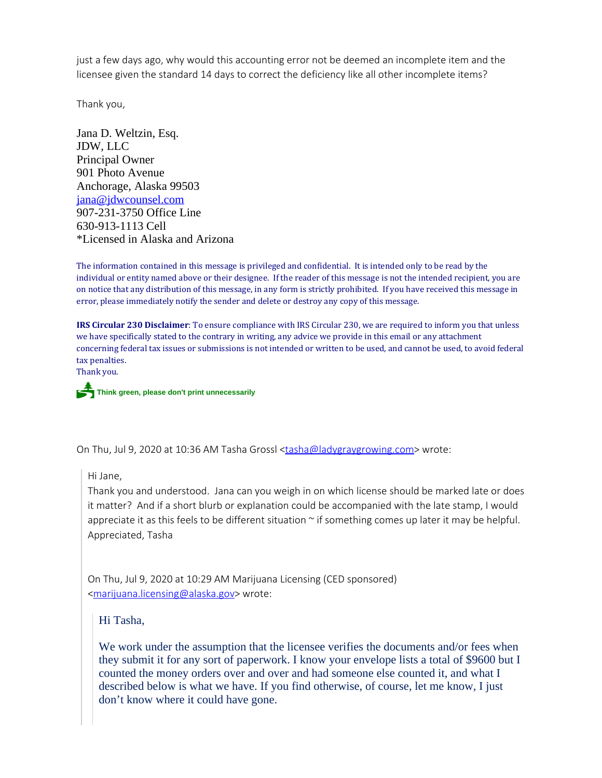just a few days ago, why would this accounting error not be deemed an incomplete item and the licensee given the standard 14 days to correct the deficiency like all other incomplete items?

Thank you,

Jana D. Weltzin, Esq. JDW, LLC Principal Owner 901 Photo Avenue Anchorage, Alaska 99503 [jana@jdwcounsel.com](mailto:jana@jdwcounsel.com) 907-231-3750 Office Line 630-913-1113 Cell \*Licensed in Alaska and Arizona

The information contained in this message is privileged and confidential. It is intended only to be read by the individual or entity named above or their designee. If the reader of this message is not the intended recipient, you are on notice that any distribution of this message, in any form is strictly prohibited. If you have received this message in error, please immediately notify the sender and delete or destroy any copy of this message.

**IRS Circular 230 Disclaimer**: To ensure compliance with IRS Circular 230, we are required to inform you that unless we have specifically stated to the contrary in writing, any advice we provide in this email or any attachment concerning federal tax issues or submissions is not intended or written to be used, and cannot be used, to avoid federal tax penalties.

Thank you.

P**Think green, please don't print unnecessarily**

On Thu, Jul 9, 2020 at 10:36 AM Tasha Grossl [<tasha@ladygraygrowing.com](mailto:tasha@ladygraygrowing.com)> wrote:

Hi Jane,

Thank you and understood. Jana can you weigh in on which license should be marked late or does it matter? And if a short blurb or explanation could be accompanied with the late stamp, I would appreciate it as this feels to be different situation  $\sim$  if something comes up later it may be helpful. Appreciated, Tasha

On Thu, Jul 9, 2020 at 10:29 AM Marijuana Licensing (CED sponsored) <[marijuana.licensing@alaska.gov](mailto:marijuana.licensing@alaska.gov)> wrote:

Hi Tasha,

We work under the assumption that the licensee verifies the documents and/or fees when they submit it for any sort of paperwork. I know your envelope lists a total of \$9600 but I counted the money orders over and over and had someone else counted it, and what I described below is what we have. If you find otherwise, of course, let me know, I just don't know where it could have gone.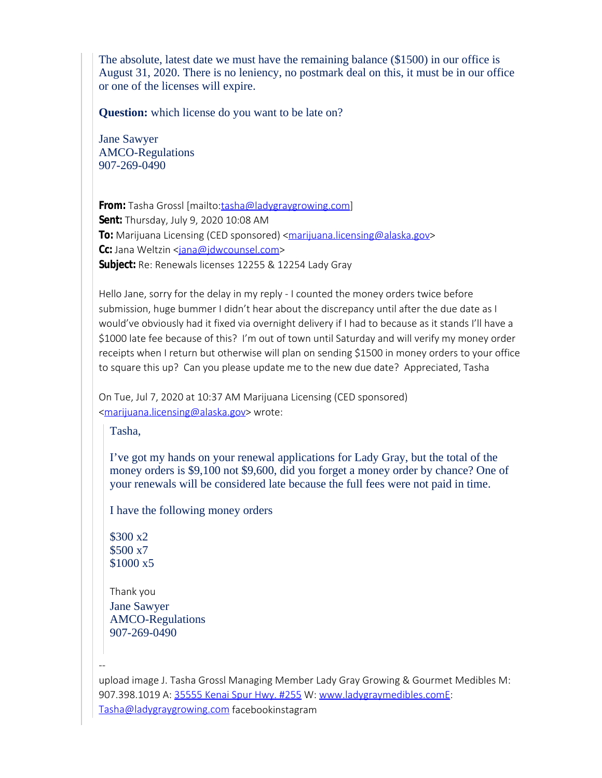The absolute, latest date we must have the remaining balance (\$1500) in our office is August 31, 2020. There is no leniency, no postmark deal on this, it must be in our office or one of the licenses will expire.

**Question:** which license do you want to be late on?

Jane Sawyer AMCO-Regulations 907-269-0490

From: Tasha Grossl [mailto[:tasha@ladygraygrowing.com](mailto:tasha@ladygraygrowing.com)] **Sent:** Thursday, July 9, 2020 10:08 AM **To:** Marijuana Licensing (CED sponsored) <**marijuana.licensing@alaska.gov>** Cc: Jana Weltzin <[jana@jdwcounsel.com](mailto:jana@jdwcounsel.com)> **Subject:** Re: Renewals licenses 12255 & 12254 Lady Gray

Hello Jane, sorry for the delay in my reply - I counted the money orders twice before submission, huge bummer I didn't hear about the discrepancy until after the due date as I would've obviously had it fixed via overnight delivery if I had to because as it stands I'll have a \$1000 late fee because of this? I'm out of town until Saturday and will verify my money order receipts when I return but otherwise will plan on sending \$1500 in money orders to your office to square this up? Can you please update me to the new due date? Appreciated, Tasha

On Tue, Jul 7, 2020 at 10:37 AM Marijuana Licensing (CED sponsored) [<marijuana.licensing@alaska.gov](mailto:marijuana.licensing@alaska.gov)> wrote:

Tasha,

I've got my hands on your renewal applications for Lady Gray, but the total of the money orders is \$9,100 not \$9,600, did you forget a money order by chance? One of your renewals will be considered late because the full fees were not paid in time.

I have the following money orders

\$300 x2 \$500 x7 \$1000 x5

--

Thank you Jane Sawyer AMCO-Regulations 907-269-0490

upload image J. Tasha Grossl Managing Member Lady Gray Growing & Gourmet Medibles M: 907.398.1019 A: [35555 Kenai Spur Hwy. #255](https://urldefense.com/v3/__https:/www.google.com/maps/search/35555*Kenai*Spur*Hwy.**A23255?entry=gmail&source=g__;KysrKyU!!J2_8gdp6gZQ!6A2ON4OAEF8QU5sZ-3g7M_AwhyOs24TSrnki3cLUhVF8xHB6ez1ppmNhRXdt9t-HgAdap4-CXA$) W: [www.ladygraymedibles.comE:](https://urldefense.com/v3/__http:/www.ladygraymedibles.comE__;!!J2_8gdp6gZQ!6A2ON4OAEF8QU5sZ-3g7M_AwhyOs24TSrnki3cLUhVF8xHB6ez1ppmNhRXdt9t-HgAfTRxa3Jg$) [Tasha@ladygraygrowing.com](mailto:Tasha@ladygraygrowing.com) facebookinstagram